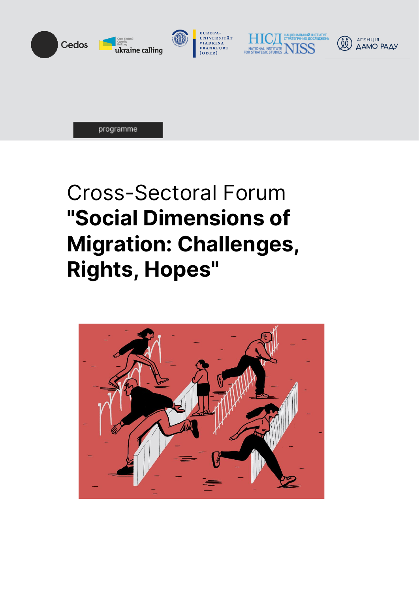







programme

# Cross-Sectoral Forum **"Social Dimensions of Migration: Challenges, Rights, Hopes"**

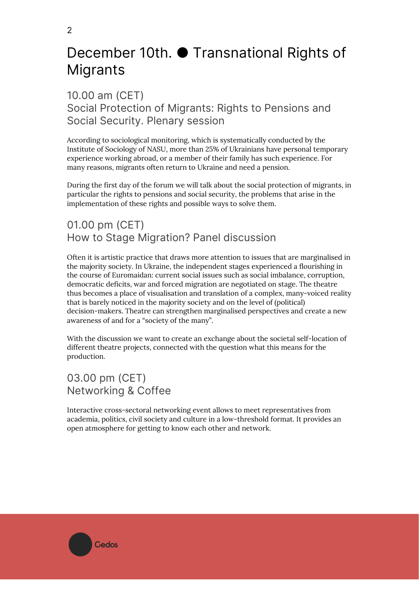## December 10th. ● Transnational Rights of Migrants

10.00 am (CET) Social Protection of Migrants: Rights to Pensions and Social Security. Plenary session

According to sociological monitoring, which is systematically conducted by the Institute of Sociology of NASU, more than 25% of Ukrainians have personal temporary experience working abroad, or a member of their family has such experience. For many reasons, migrants often return to Ukraine and need a pension.

During the first day of the forum we will talk about the social protection of migrants, in particular the rights to pensions and social security, the problems that arise in the implementation of these rights and possible ways to solve them.

#### 01.00 pm (CET) How to Stage Migration? Panel discussion

Often it is artistic practice that draws more attention to issues that are marginalised in the majority society. In Ukraine, the independent stages experienced a flourishing in the course of Euromaidan: current social issues such as social imbalance, corruption, democratic deficits, war and forced migration are negotiated on stage. The theatre thus becomes a place of visualisation and translation of a complex, many-voiced reality that is barely noticed in the majority society and on the level of (political) decision-makers. Theatre can strengthen marginalised perspectives and create a new awareness of and for a "society of the many".

With the discussion we want to create an exchange about the societal self-location of different theatre projects, connected with the question what this means for the production.

#### 03.00 pm (CET) Networking & Coffee

Interactive cross-sectoral networking event allows to meet representatives from academia, politics, civil society and culture in a low-threshold format. It provides an open atmosphere for getting to know each other and network.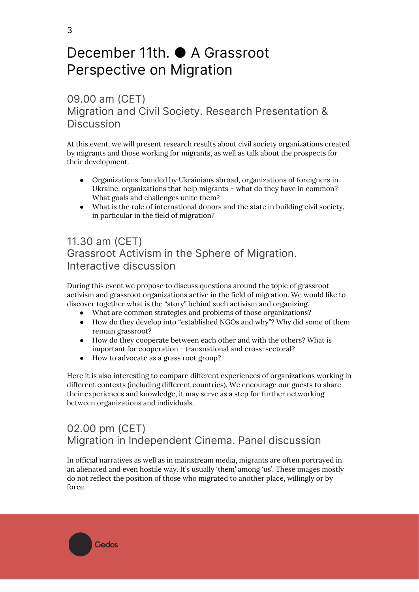## December 11th. ● A Grassroot Perspective on Migration

#### 09.00 am (CET) Migration and Civil Society. Research Presentation & **Discussion**

At this event, we will present research results about civil society organizations created by migrants and those working for migrants, as well as talk about the prospects for their development.

- Organizations founded by Ukrainians abroad, organizations of foreigners in Ukraine, organizations that help migrants – what do they have in common? What goals and challenges unite them?
- What is the role of international donors and the state in building civil society, in particular in the field of migration?

#### 11.30 am (CET) Grassroot Activism in the Sphere of Migration. Interactive discussion

During this event we propose to discuss questions around the topic of grassroot activism and grassroot organizations active in the field of migration. We would like to discover together what is the "story" behind such activism and organizing.

- What are common strategies and problems of those organizations?
- How do they develop into "established NGOs and why"? Why did some of them remain grassroot?
- How do they cooperate between each other and with the others? What is important for cooperation - transnational and cross-sectoral?
- How to advocate as a grass root group?

**Cedos** 

Here it is also interesting to compare different experiences of organizations working in different contexts (including different countries). We encourage our guests to share their experiences and knowledge, it may serve as a step for further networking between organizations and individuals.

### 02.00 pm (CET) Migration in Independent Cinema. Panel discussion

In official narratives as well as in mainstream media, migrants are often portrayed in an alienated and even hostile way. It's usually 'them' among 'us'. These images mostly do not reflect the position of those who migrated to another place, willingly or by force.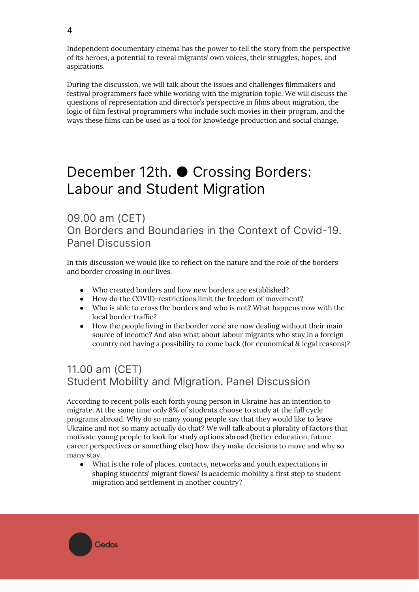Independent documentary cinema has the power to tell the story from the perspective of its heroes, a potential to reveal migrants' own voices, their struggles, hopes, and aspirations.

During the discussion, we will talk about the issues and challenges filmmakers and festival programmers face while working with the migration topic. We will discuss the questions of representation and director's perspective in films about migration, the logic of film festival programmers who include such movies in their program, and the ways these films can be used as a tool for knowledge production and social change.

## December 12th. ● Crossing Borders: Labour and Student Migration

09.00 am (CET) On Borders and Boundaries in the Context of Covid-19. Panel Discussion

In this discussion we would like to reflect on the nature and the role of the borders and border crossing in our lives.

- Who created borders and how new borders are established?
- How do the COVID-restrictions limit the freedom of movement?
- Who is able to cross the borders and who is not? What happens now with the local border traffic?
- How the people living in the border zone are now dealing without their main source of income? And also what about labour migrants who stay in a foreign country not having a possibility to come back (for economical & legal reasons)?

#### 11.00 am (CET) Student Mobility and Migration. Panel Discussion

**Cedos** 

According to recent polls each forth young person in Ukraine has an intention to migrate. At the same time only 8% of students choose to study at the full cycle programs abroad. Why do so many young people say that they would like to leave Ukraine and not so many actually do that? We will talk about a plurality of factors that motivate young people to look for study options abroad (better education, future career perspectives or something else) how they make decisions to move and why so many stay.

● What is the role of places, contacts, networks and youth expectations in shaping students' migrant flows? Is academic mobility a first step to student migration and settlement in another country?